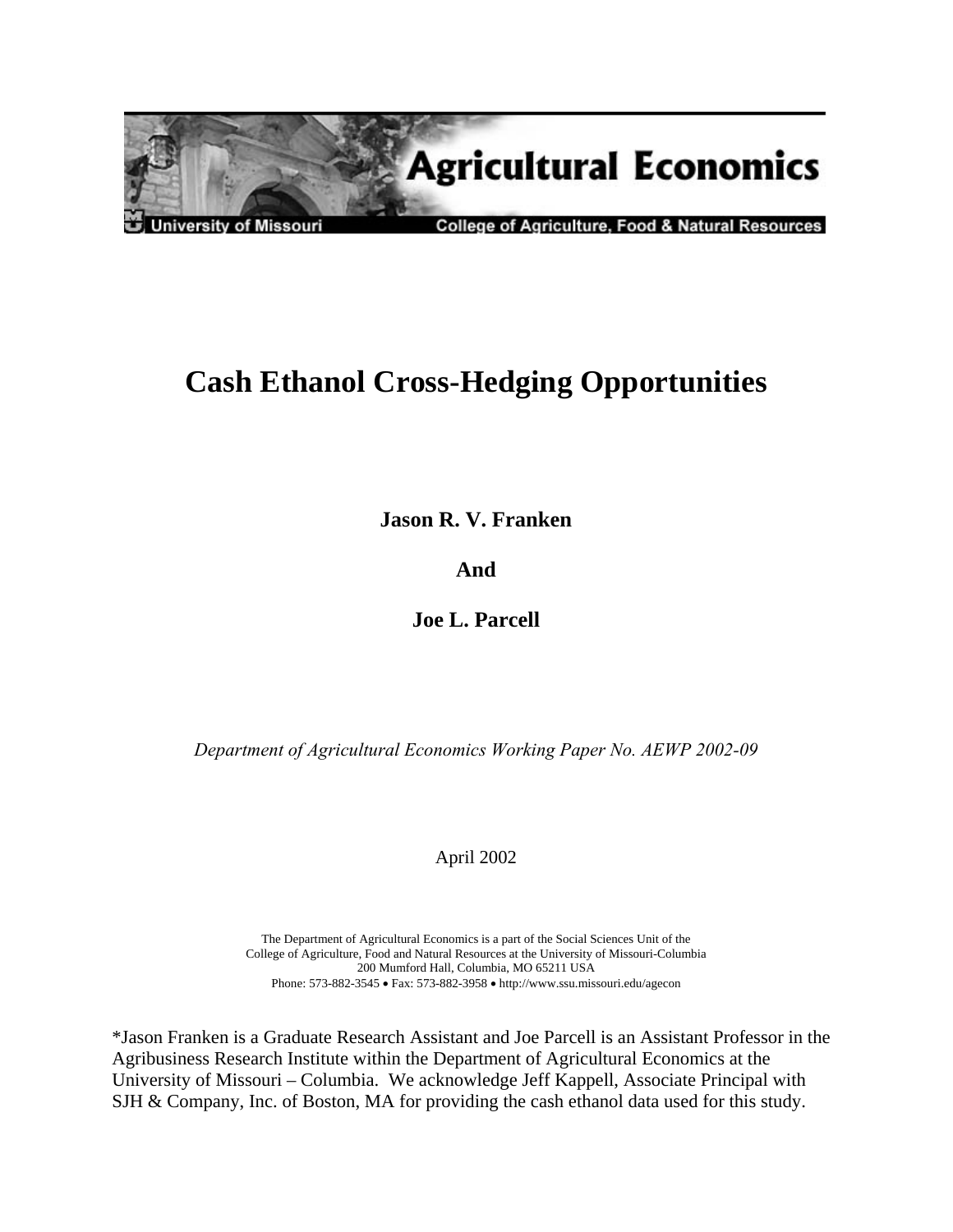

# **Cash Ethanol Cross-Hedging Opportunities**

**Jason R. V. Franken** 

**And** 

**Joe L. Parcell** 

*Department of Agricultural Economics Working Paper No. AEWP 2002-09* 

April 2002

The Department of Agricultural Economics is a part of the Social Sciences Unit of the College of Agriculture, Food and Natural Resources at the University of Missouri-Columbia 200 Mumford Hall, Columbia, MO 65211 USA Phone: 573-882-3545 • Fax: 573-882-3958 • http://www.ssu.missouri.edu/agecon

\*Jason Franken is a Graduate Research Assistant and Joe Parcell is an Assistant Professor in the Agribusiness Research Institute within the Department of Agricultural Economics at the University of Missouri – Columbia. We acknowledge Jeff Kappell, Associate Principal with SJH & Company, Inc. of Boston, MA for providing the cash ethanol data used for this study.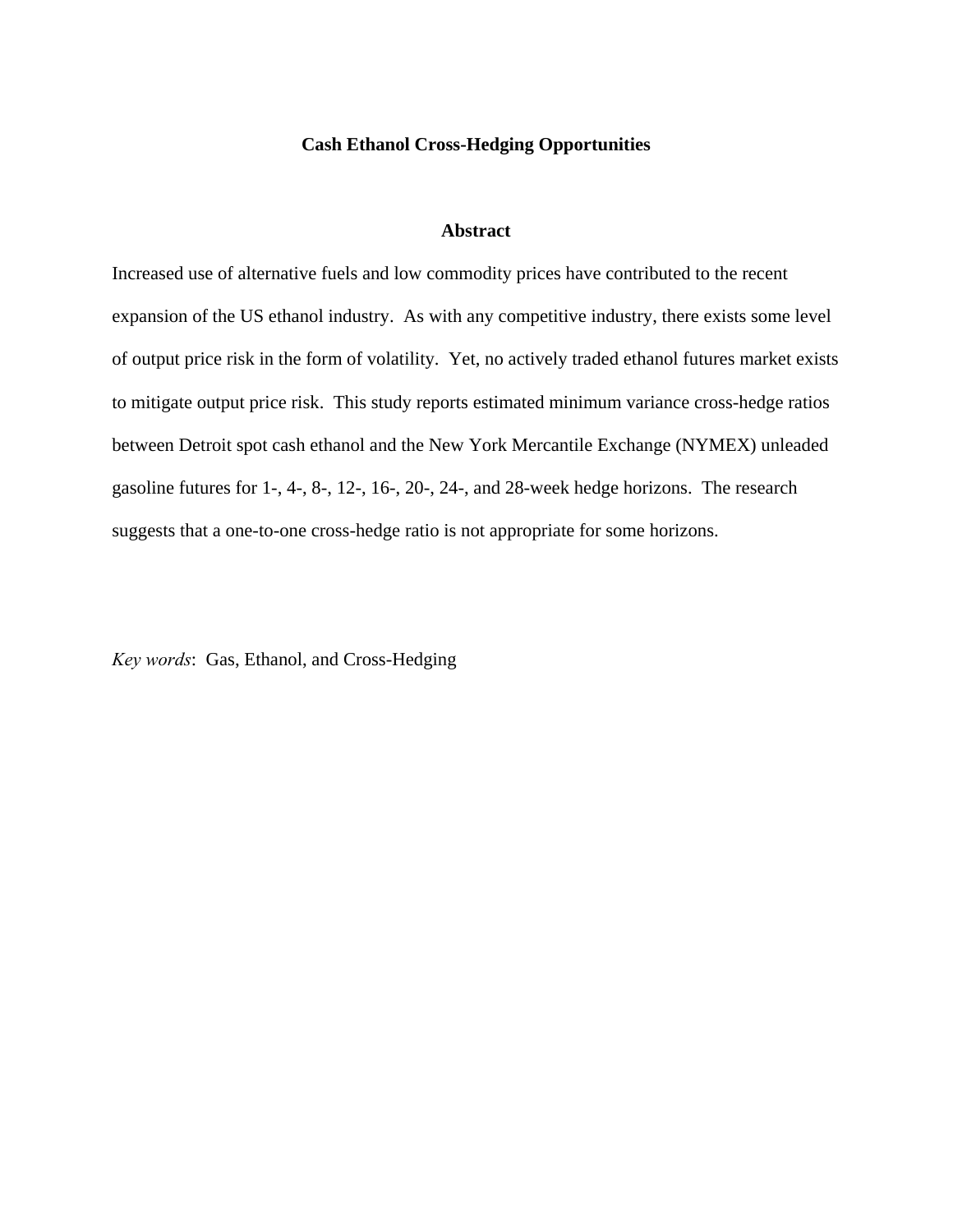# **Cash Ethanol Cross-Hedging Opportunities**

# **Abstract**

Increased use of alternative fuels and low commodity prices have contributed to the recent expansion of the US ethanol industry. As with any competitive industry, there exists some level of output price risk in the form of volatility. Yet, no actively traded ethanol futures market exists to mitigate output price risk. This study reports estimated minimum variance cross-hedge ratios between Detroit spot cash ethanol and the New York Mercantile Exchange (NYMEX) unleaded gasoline futures for 1-, 4-, 8-, 12-, 16-, 20-, 24-, and 28-week hedge horizons. The research suggests that a one-to-one cross-hedge ratio is not appropriate for some horizons.

*Key words*: Gas, Ethanol, and Cross-Hedging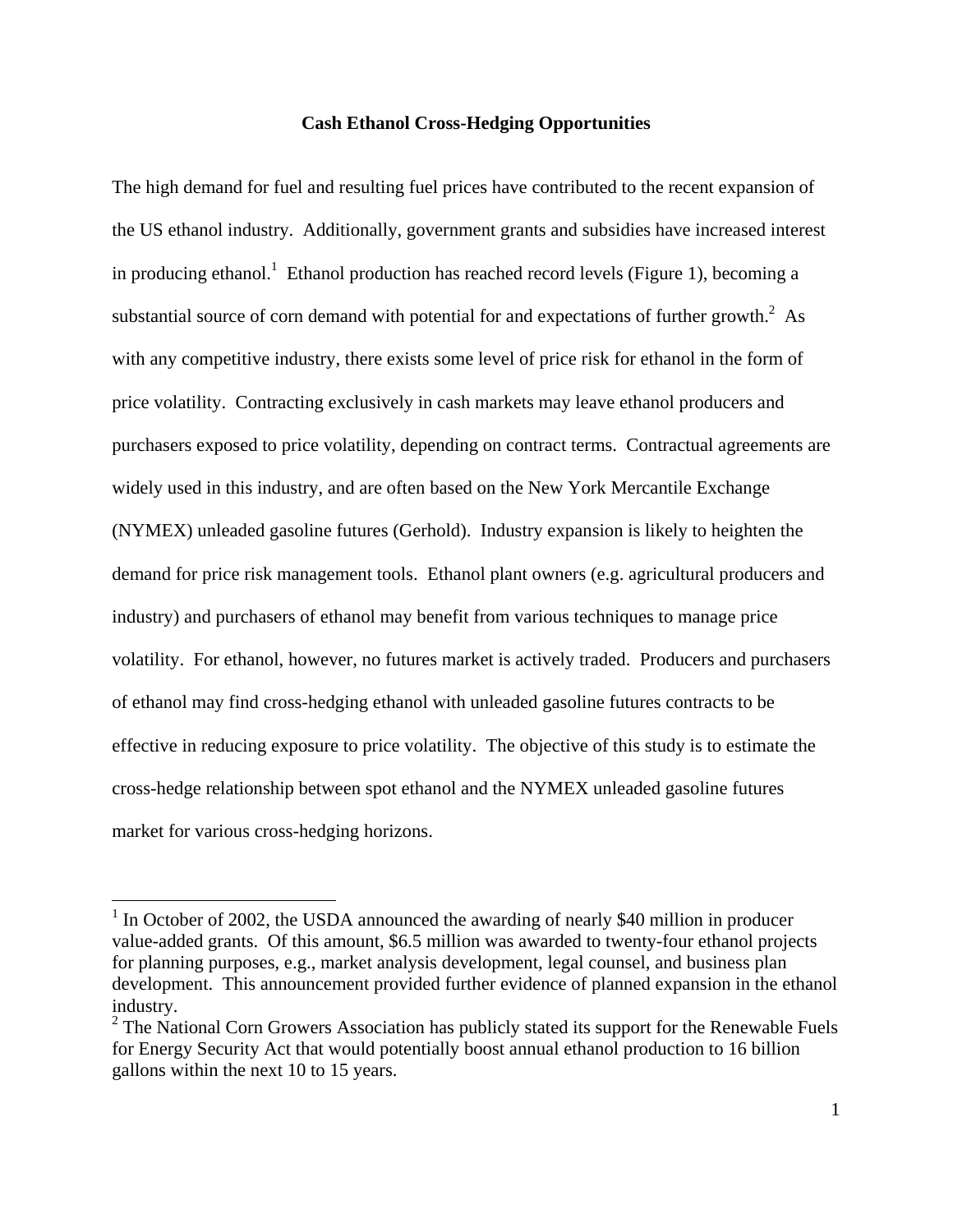# **Cash Ethanol Cross-Hedging Opportunities**

The high demand for fuel and resulting fuel prices have contributed to the recent expansion of the US ethanol industry. Additionally, government grants and subsidies have increased interest in producing ethanol.<sup>1</sup> Ethanol production has reached record levels (Figure 1), becoming a substantial source of corn demand with potential for and expectations of further growth.<sup>2</sup> As with any competitive industry, there exists some level of price risk for ethanol in the form of price volatility. Contracting exclusively in cash markets may leave ethanol producers and purchasers exposed to price volatility, depending on contract terms. Contractual agreements are widely used in this industry, and are often based on the New York Mercantile Exchange (NYMEX) unleaded gasoline futures (Gerhold). Industry expansion is likely to heighten the demand for price risk management tools. Ethanol plant owners (e.g. agricultural producers and industry) and purchasers of ethanol may benefit from various techniques to manage price volatility. For ethanol, however, no futures market is actively traded. Producers and purchasers of ethanol may find cross-hedging ethanol with unleaded gasoline futures contracts to be effective in reducing exposure to price volatility. The objective of this study is to estimate the cross-hedge relationship between spot ethanol and the NYMEX unleaded gasoline futures market for various cross-hedging horizons.

<u>.</u>

 $1$  In October of 2002, the USDA announced the awarding of nearly \$40 million in producer value-added grants. Of this amount, \$6.5 million was awarded to twenty-four ethanol projects for planning purposes, e.g., market analysis development, legal counsel, and business plan development. This announcement provided further evidence of planned expansion in the ethanol industry.

 $2^2$  The National Corn Growers Association has publicly stated its support for the Renewable Fuels for Energy Security Act that would potentially boost annual ethanol production to 16 billion gallons within the next 10 to 15 years.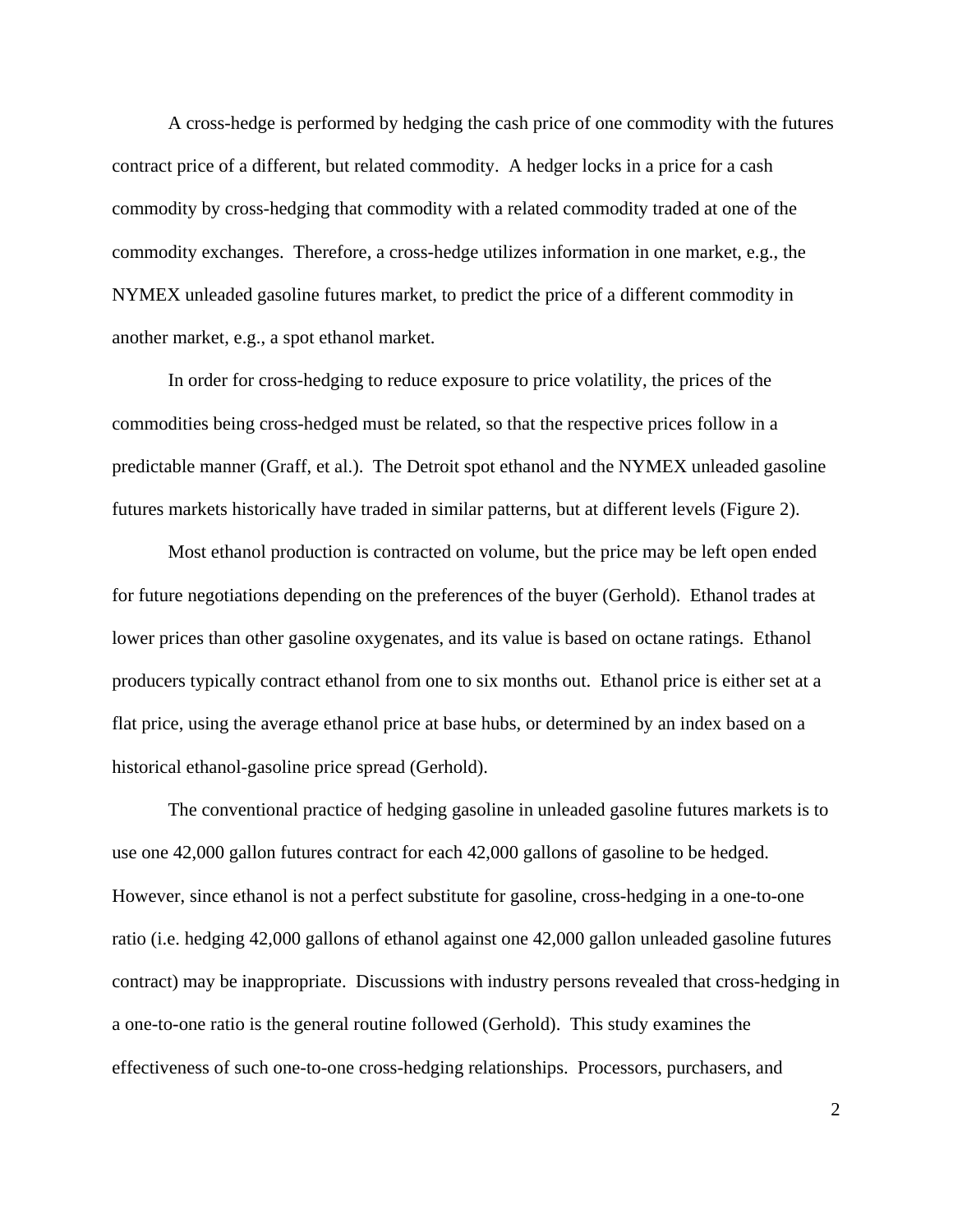A cross-hedge is performed by hedging the cash price of one commodity with the futures contract price of a different, but related commodity. A hedger locks in a price for a cash commodity by cross-hedging that commodity with a related commodity traded at one of the commodity exchanges. Therefore, a cross-hedge utilizes information in one market, e.g., the NYMEX unleaded gasoline futures market, to predict the price of a different commodity in another market, e.g., a spot ethanol market.

In order for cross-hedging to reduce exposure to price volatility, the prices of the commodities being cross-hedged must be related, so that the respective prices follow in a predictable manner (Graff, et al.). The Detroit spot ethanol and the NYMEX unleaded gasoline futures markets historically have traded in similar patterns, but at different levels (Figure 2).

Most ethanol production is contracted on volume, but the price may be left open ended for future negotiations depending on the preferences of the buyer (Gerhold). Ethanol trades at lower prices than other gasoline oxygenates, and its value is based on octane ratings. Ethanol producers typically contract ethanol from one to six months out. Ethanol price is either set at a flat price, using the average ethanol price at base hubs, or determined by an index based on a historical ethanol-gasoline price spread (Gerhold).

The conventional practice of hedging gasoline in unleaded gasoline futures markets is to use one 42,000 gallon futures contract for each 42,000 gallons of gasoline to be hedged. However, since ethanol is not a perfect substitute for gasoline, cross-hedging in a one-to-one ratio (i.e. hedging 42,000 gallons of ethanol against one 42,000 gallon unleaded gasoline futures contract) may be inappropriate. Discussions with industry persons revealed that cross-hedging in a one-to-one ratio is the general routine followed (Gerhold). This study examines the effectiveness of such one-to-one cross-hedging relationships. Processors, purchasers, and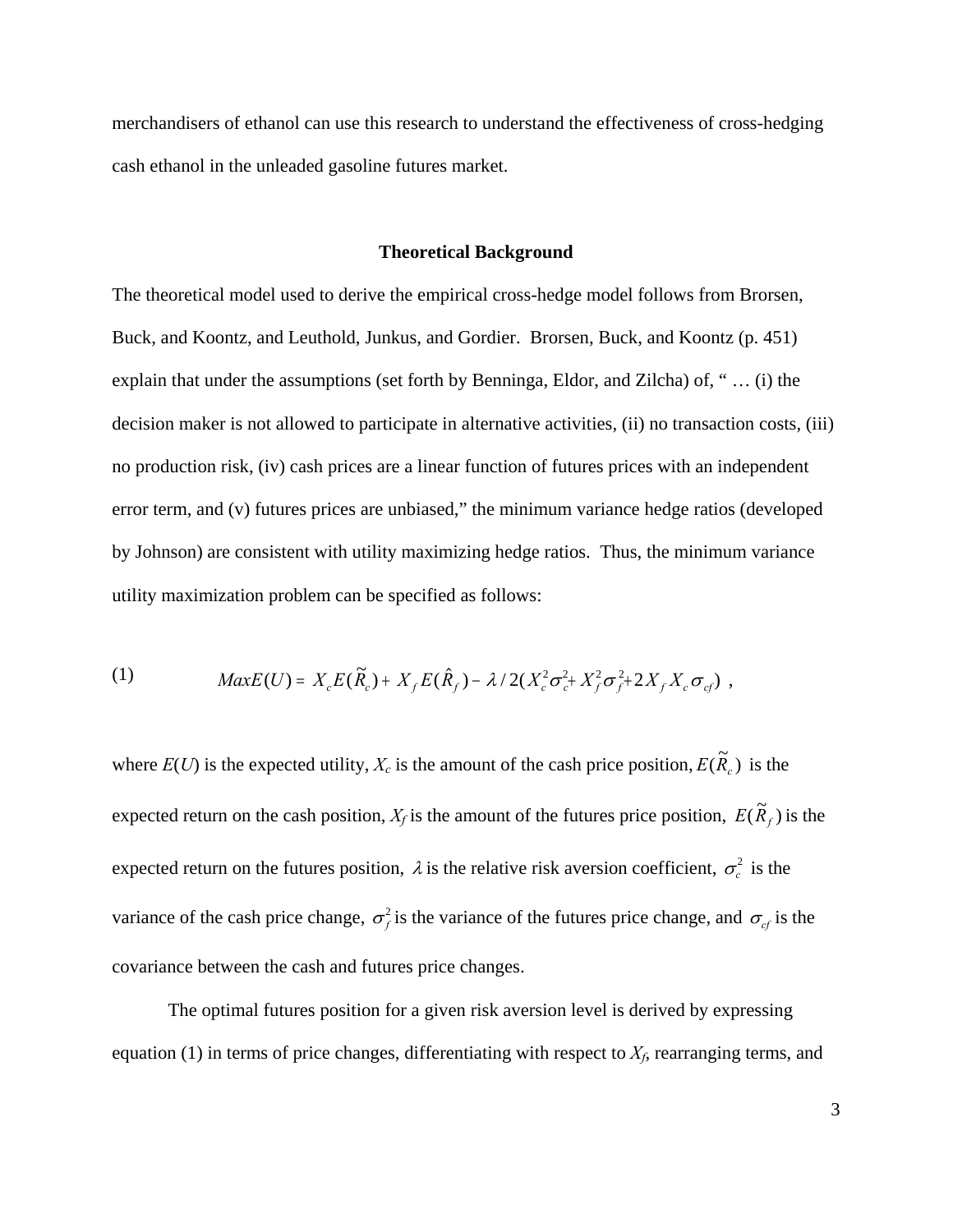merchandisers of ethanol can use this research to understand the effectiveness of cross-hedging cash ethanol in the unleaded gasoline futures market.

### **Theoretical Background**

The theoretical model used to derive the empirical cross-hedge model follows from Brorsen, Buck, and Koontz, and Leuthold, Junkus, and Gordier. Brorsen, Buck, and Koontz (p. 451) explain that under the assumptions (set forth by Benninga, Eldor, and Zilcha) of, " … (i) the decision maker is not allowed to participate in alternative activities, (ii) no transaction costs, (iii) no production risk, (iv) cash prices are a linear function of futures prices with an independent error term, and (v) futures prices are unbiased," the minimum variance hedge ratios (developed by Johnson) are consistent with utility maximizing hedge ratios. Thus, the minimum variance utility maximization problem can be specified as follows:

(1) 
$$
MaxE(U) = X_c E(\tilde{R}_c) + X_f E(\hat{R}_f) - \lambda / 2(X_c^2 \sigma_c^2 + X_f^2 \sigma_f^2 + 2X_f X_c \sigma_{cf})
$$

where  $E(U)$  is the expected utility,  $X_c$  is the amount of the cash price position,  $E(\tilde{R}_c)$  is the expected return on the cash position,  $X_f$  is the amount of the futures price position,  $E(\tilde{R}_f)$  is the expected return on the futures position,  $\lambda$  is the relative risk aversion coefficient,  $\sigma_c^2$  is the variance of the cash price change,  $\sigma_f^2$  is the variance of the futures price change, and  $\sigma_{cf}$  is the covariance between the cash and futures price changes.

The optimal futures position for a given risk aversion level is derived by expressing equation (1) in terms of price changes, differentiating with respect to  $X_f$ , rearranging terms, and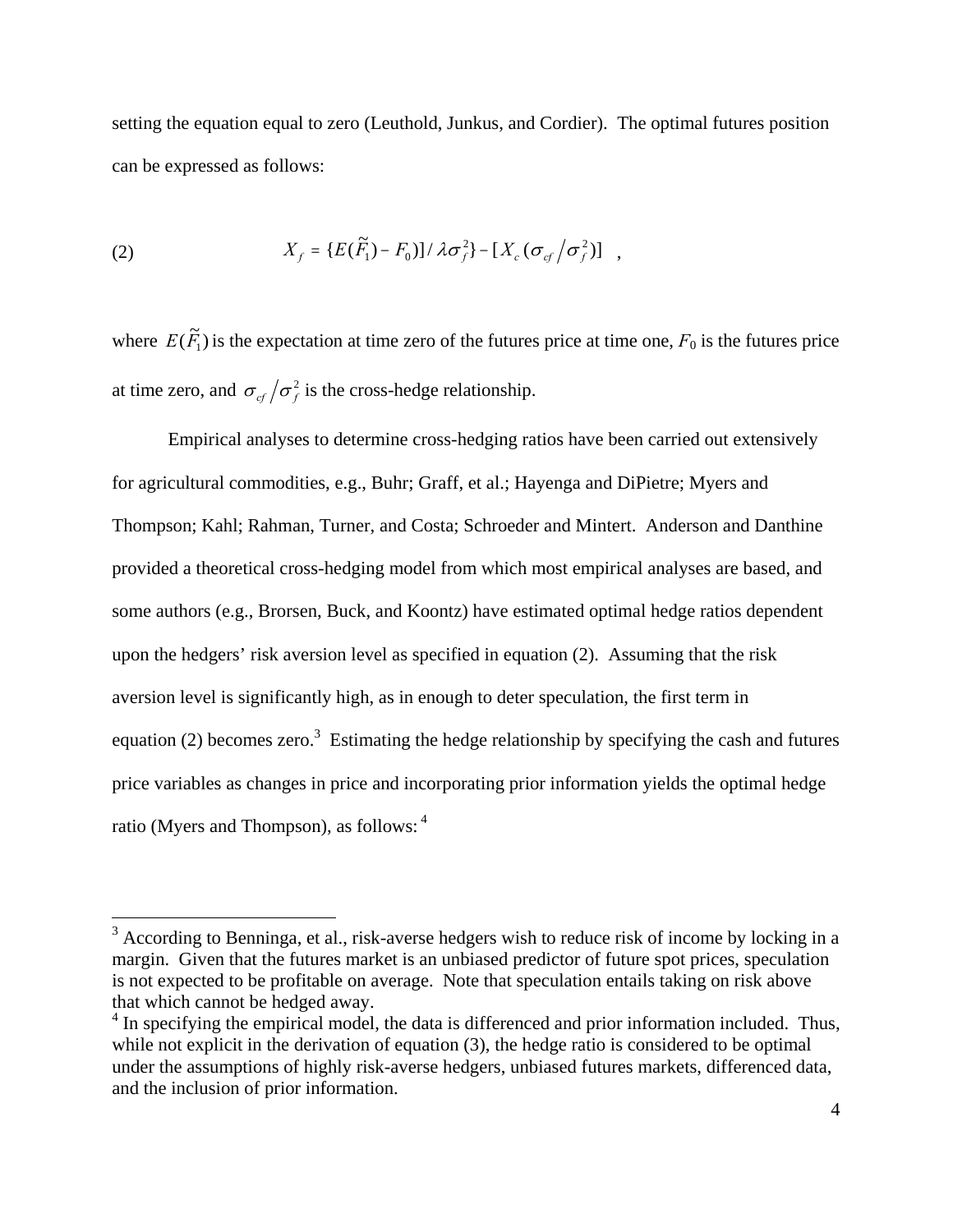setting the equation equal to zero (Leuthold, Junkus, and Cordier). The optimal futures position can be expressed as follows:

(2) 
$$
X_f = \{E(\tilde{F}_1) - F_0\} / \lambda \sigma_f^2\} - [X_c(\sigma_{cf}/\sigma_f^2)] ,
$$

where  $E(\tilde{F}_1)$  is the expectation at time zero of the futures price at time one,  $F_0$  is the futures price at time zero, and  $\sigma_{cf}/\sigma_f^2$  is the cross-hedge relationship.

Empirical analyses to determine cross-hedging ratios have been carried out extensively for agricultural commodities, e.g., Buhr; Graff, et al.; Hayenga and DiPietre; Myers and Thompson; Kahl; Rahman, Turner, and Costa; Schroeder and Mintert. Anderson and Danthine provided a theoretical cross-hedging model from which most empirical analyses are based, and some authors (e.g., Brorsen, Buck, and Koontz) have estimated optimal hedge ratios dependent upon the hedgers' risk aversion level as specified in equation (2). Assuming that the risk aversion level is significantly high, as in enough to deter speculation, the first term in equation (2) becomes zero.<sup>3</sup> Estimating the hedge relationship by specifying the cash and futures price variables as changes in price and incorporating prior information yields the optimal hedge ratio (Myers and Thompson), as follows: <sup>4</sup>

<sup>&</sup>lt;sup>3</sup> According to Benninga, et al., risk-averse hedgers wish to reduce risk of income by locking in a margin. Given that the futures market is an unbiased predictor of future spot prices, speculation is not expected to be profitable on average. Note that speculation entails taking on risk above that which cannot be hedged away.

<sup>&</sup>lt;sup>4</sup> In specifying the empirical model, the data is differenced and prior information included. Thus, while not explicit in the derivation of equation (3), the hedge ratio is considered to be optimal under the assumptions of highly risk-averse hedgers, unbiased futures markets, differenced data, and the inclusion of prior information.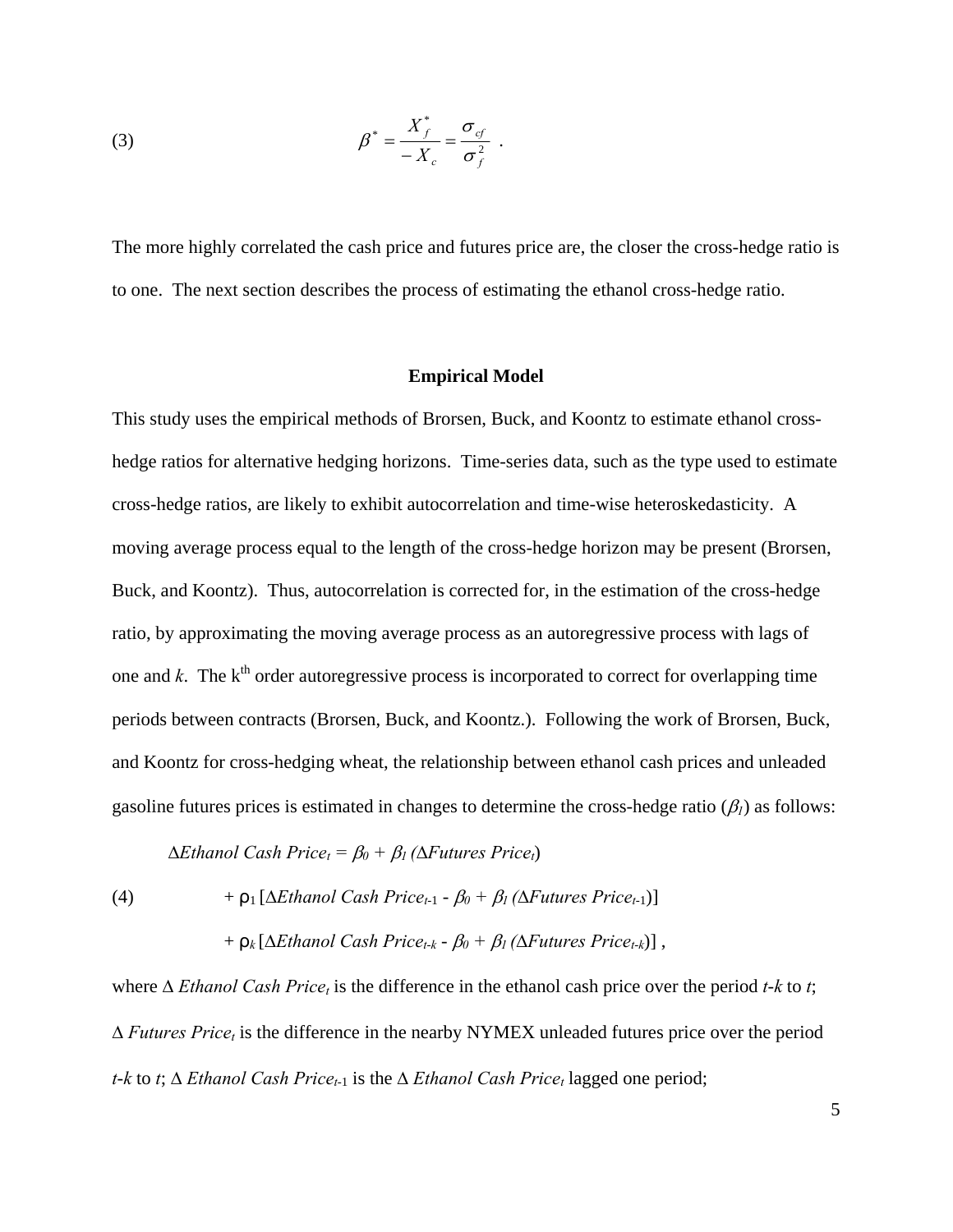(3) 
$$
\beta^* = \frac{X_f^*}{-X_c} = \frac{\sigma_{cf}}{\sigma_f^2}.
$$

The more highly correlated the cash price and futures price are, the closer the cross-hedge ratio is to one. The next section describes the process of estimating the ethanol cross-hedge ratio.

## **Empirical Model**

This study uses the empirical methods of Brorsen, Buck, and Koontz to estimate ethanol crosshedge ratios for alternative hedging horizons. Time-series data, such as the type used to estimate cross-hedge ratios, are likely to exhibit autocorrelation and time-wise heteroskedasticity. A moving average process equal to the length of the cross-hedge horizon may be present (Brorsen, Buck, and Koontz). Thus, autocorrelation is corrected for, in the estimation of the cross-hedge ratio, by approximating the moving average process as an autoregressive process with lags of one and  $k$ . The  $k^{\text{th}}$  order autoregressive process is incorporated to correct for overlapping time periods between contracts (Brorsen, Buck, and Koontz.). Following the work of Brorsen, Buck, and Koontz for cross-hedging wheat, the relationship between ethanol cash prices and unleaded gasoline futures prices is estimated in changes to determine the cross-hedge ratio  $(\beta_l)$  as follows:

 $\Delta Ethanol Cash Price<sub>t</sub> = β<sub>0</sub> + β<sub>1</sub> (ΔFutures Price<sub>t</sub>)$ 

(4)  $+ \rho_1 [\Delta Ethanol Cash Price_{t-1} - \beta_0 + \beta_1 (\Delta Futures Price_{t-1})]$ 

$$
+ \rho_k [\Delta Ethanol Cash Price_{t-k} - \beta_0 + \beta_1 (\Delta Futures Price_{t-k})],
$$

where ∆ *Ethanol Cash Price<sub>t</sub>* is the difference in the ethanol cash price over the period *t*-*k* to *t*;  $\Delta$  *Futures Price<sub>t</sub>* is the difference in the nearby NYMEX unleaded futures price over the period *t*-*k* to *t*; ∆ *Ethanol Cash Price<sub>t-1</sub>* is the ∆ *Ethanol Cash Price<sub>t</sub>* lagged one period;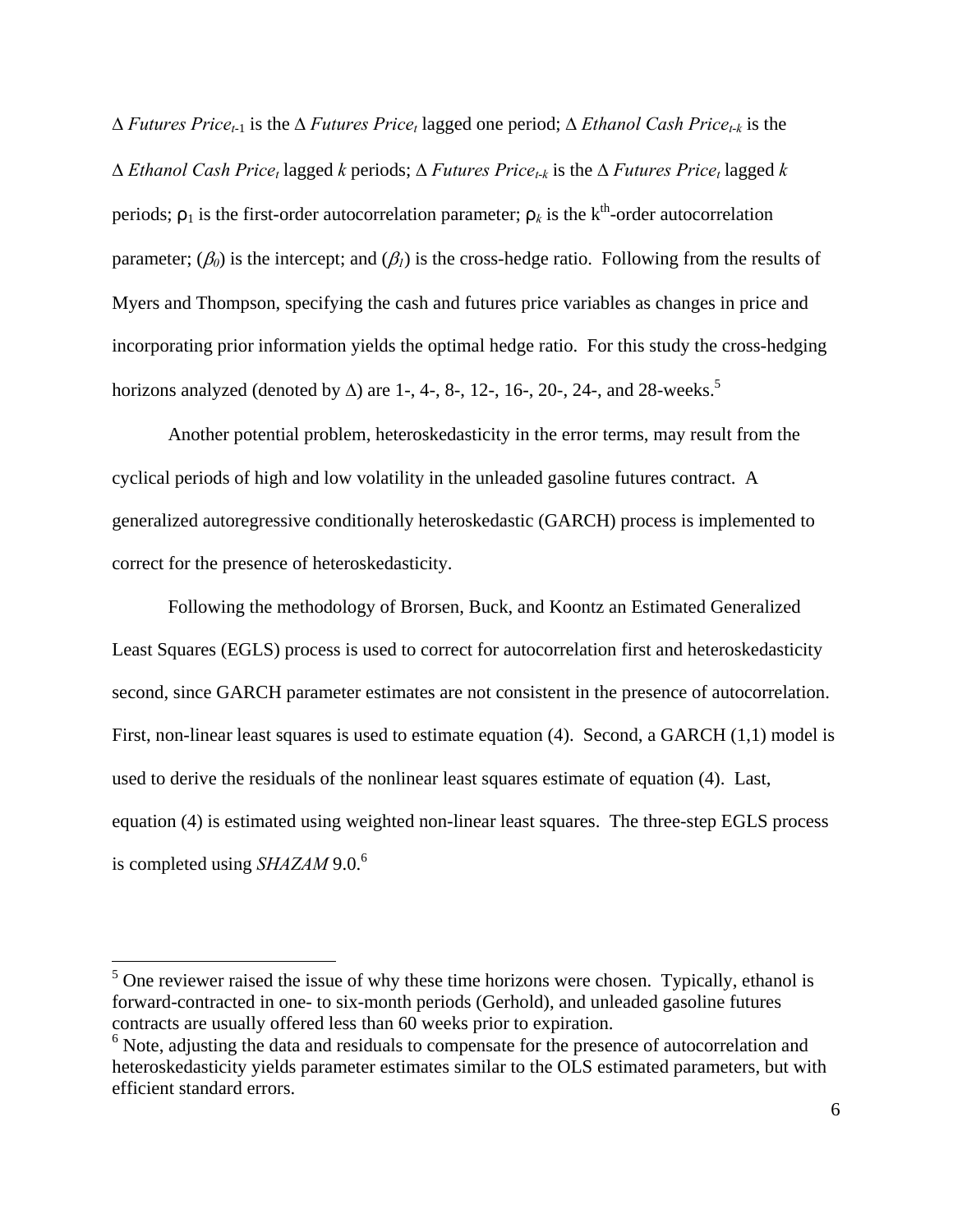∆ *Futures Pricet*-1 is the ∆ *Futures Pricet* lagged one period; ∆ *Ethanol Cash Pricet*-*k* is the ∆ *Ethanol Cash Pricet* lagged *k* periods; ∆ *Futures Pricet*-*k* is the ∆ *Futures Pricet* lagged *k* periods;  $\rho_1$  is the first-order autocorrelation parameter;  $\rho_k$  is the k<sup>th</sup>-order autocorrelation parameter;  $(\beta_0)$  is the intercept; and  $(\beta_1)$  is the cross-hedge ratio. Following from the results of Myers and Thompson, specifying the cash and futures price variables as changes in price and incorporating prior information yields the optimal hedge ratio. For this study the cross-hedging horizons analyzed (denoted by  $\Delta$ ) are 1-, 4-, 8-, 12-, 16-, 20-, 24-, and 28-weeks.<sup>5</sup>

Another potential problem, heteroskedasticity in the error terms, may result from the cyclical periods of high and low volatility in the unleaded gasoline futures contract. A generalized autoregressive conditionally heteroskedastic (GARCH) process is implemented to correct for the presence of heteroskedasticity.

Following the methodology of Brorsen, Buck, and Koontz an Estimated Generalized Least Squares (EGLS) process is used to correct for autocorrelation first and heteroskedasticity second, since GARCH parameter estimates are not consistent in the presence of autocorrelation. First, non-linear least squares is used to estimate equation (4). Second, a GARCH (1,1) model is used to derive the residuals of the nonlinear least squares estimate of equation (4). Last, equation (4) is estimated using weighted non-linear least squares. The three-step EGLS process is completed using *SHAZAM* 9.0.<sup>6</sup>

 $<sup>5</sup>$  One reviewer raised the issue of why these time horizons were chosen. Typically, ethanol is</sup> forward-contracted in one- to six-month periods (Gerhold), and unleaded gasoline futures contracts are usually offered less than 60 weeks prior to expiration.

<sup>&</sup>lt;sup>6</sup> Note, adjusting the data and residuals to compensate for the presence of autocorrelation and heteroskedasticity yields parameter estimates similar to the OLS estimated parameters, but with efficient standard errors.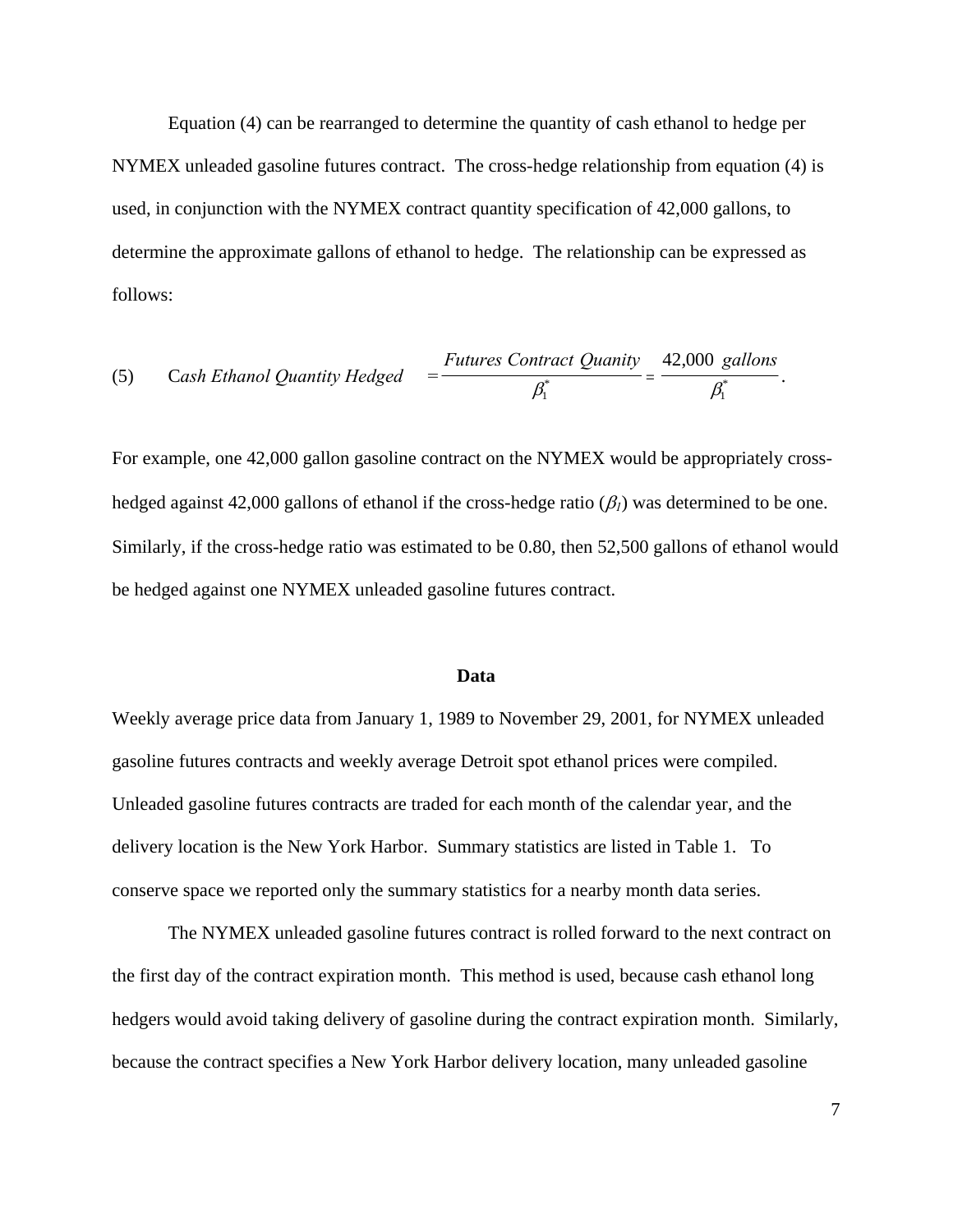Equation (4) can be rearranged to determine the quantity of cash ethanol to hedge per NYMEX unleaded gasoline futures contract. The cross-hedge relationship from equation (4) is used, in conjunction with the NYMEX contract quantity specification of 42,000 gallons, to determine the approximate gallons of ethanol to hedge. The relationship can be expressed as follows:

(5) Cash Ethanol Quantity Hedge 
$$
= \frac{Futures Contract \tQuantity}{\beta_1^*} = \frac{42,000 \text{ gallons}}{\beta_1^*}.
$$

For example, one 42,000 gallon gasoline contract on the NYMEX would be appropriately crosshedged against 42,000 gallons of ethanol if the cross-hedge ratio (β*1*) was determined to be one. Similarly, if the cross-hedge ratio was estimated to be 0.80, then 52,500 gallons of ethanol would be hedged against one NYMEX unleaded gasoline futures contract.

#### **Data**

Weekly average price data from January 1, 1989 to November 29, 2001, for NYMEX unleaded gasoline futures contracts and weekly average Detroit spot ethanol prices were compiled. Unleaded gasoline futures contracts are traded for each month of the calendar year, and the delivery location is the New York Harbor. Summary statistics are listed in Table 1. To conserve space we reported only the summary statistics for a nearby month data series.

The NYMEX unleaded gasoline futures contract is rolled forward to the next contract on the first day of the contract expiration month. This method is used, because cash ethanol long hedgers would avoid taking delivery of gasoline during the contract expiration month. Similarly, because the contract specifies a New York Harbor delivery location, many unleaded gasoline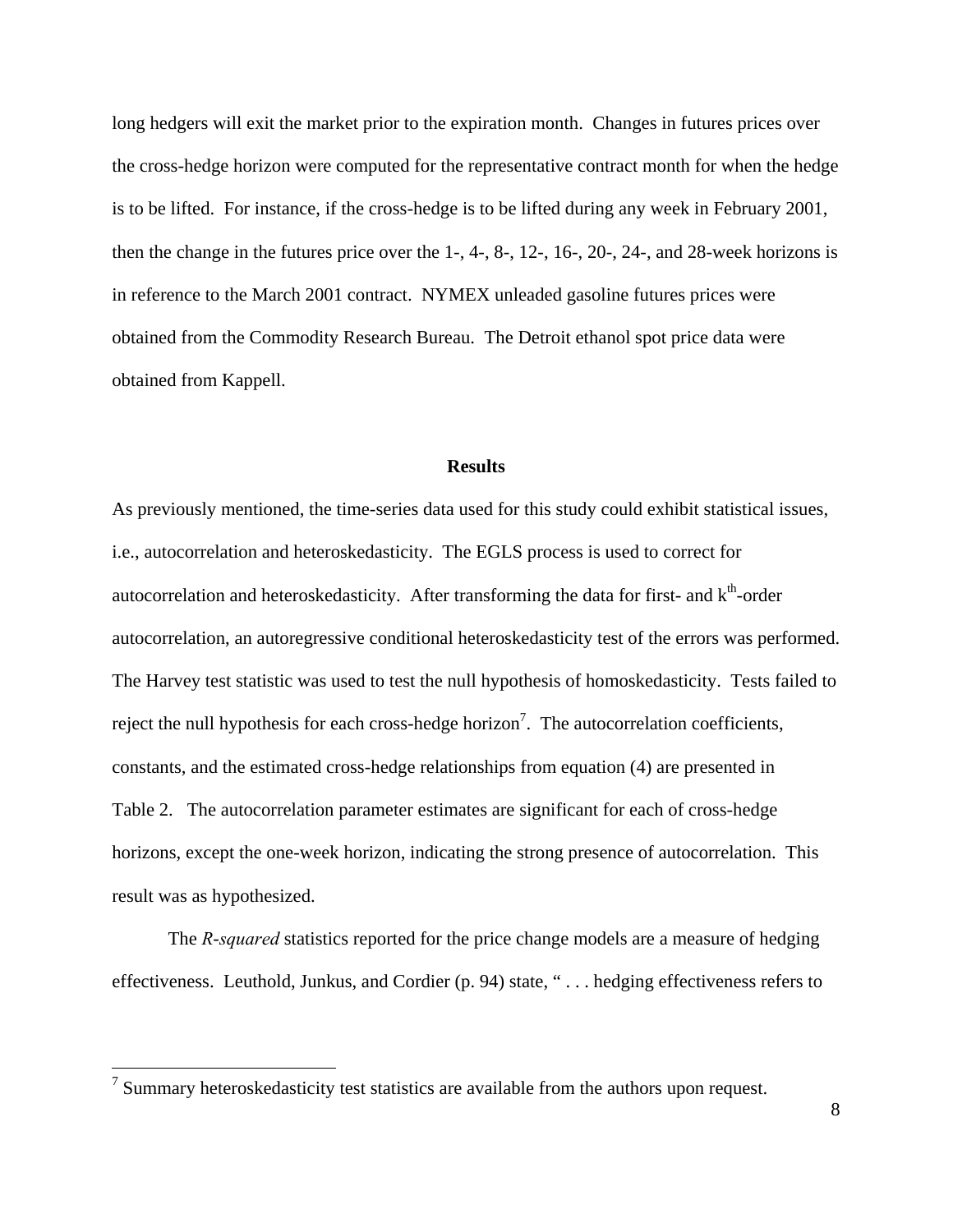long hedgers will exit the market prior to the expiration month. Changes in futures prices over the cross-hedge horizon were computed for the representative contract month for when the hedge is to be lifted. For instance, if the cross-hedge is to be lifted during any week in February 2001, then the change in the futures price over the 1-, 4-, 8-, 12-, 16-, 20-, 24-, and 28-week horizons is in reference to the March 2001 contract. NYMEX unleaded gasoline futures prices were obtained from the Commodity Research Bureau. The Detroit ethanol spot price data were obtained from Kappell.

#### **Results**

As previously mentioned, the time-series data used for this study could exhibit statistical issues, i.e., autocorrelation and heteroskedasticity. The EGLS process is used to correct for autocorrelation and heteroskedasticity. After transforming the data for first- and k<sup>th</sup>-order autocorrelation, an autoregressive conditional heteroskedasticity test of the errors was performed. The Harvey test statistic was used to test the null hypothesis of homoskedasticity. Tests failed to reject the null hypothesis for each cross-hedge horizon<sup>7</sup>. The autocorrelation coefficients, constants, and the estimated cross-hedge relationships from equation (4) are presented in Table 2. The autocorrelation parameter estimates are significant for each of cross-hedge horizons, except the one-week horizon, indicating the strong presence of autocorrelation. This result was as hypothesized.

The *R*-*squared* statistics reported for the price change models are a measure of hedging effectiveness. Leuthold, Junkus, and Cordier (p. 94) state, " . . . hedging effectiveness refers to

 $7$  Summary heteroskedasticity test statistics are available from the authors upon request.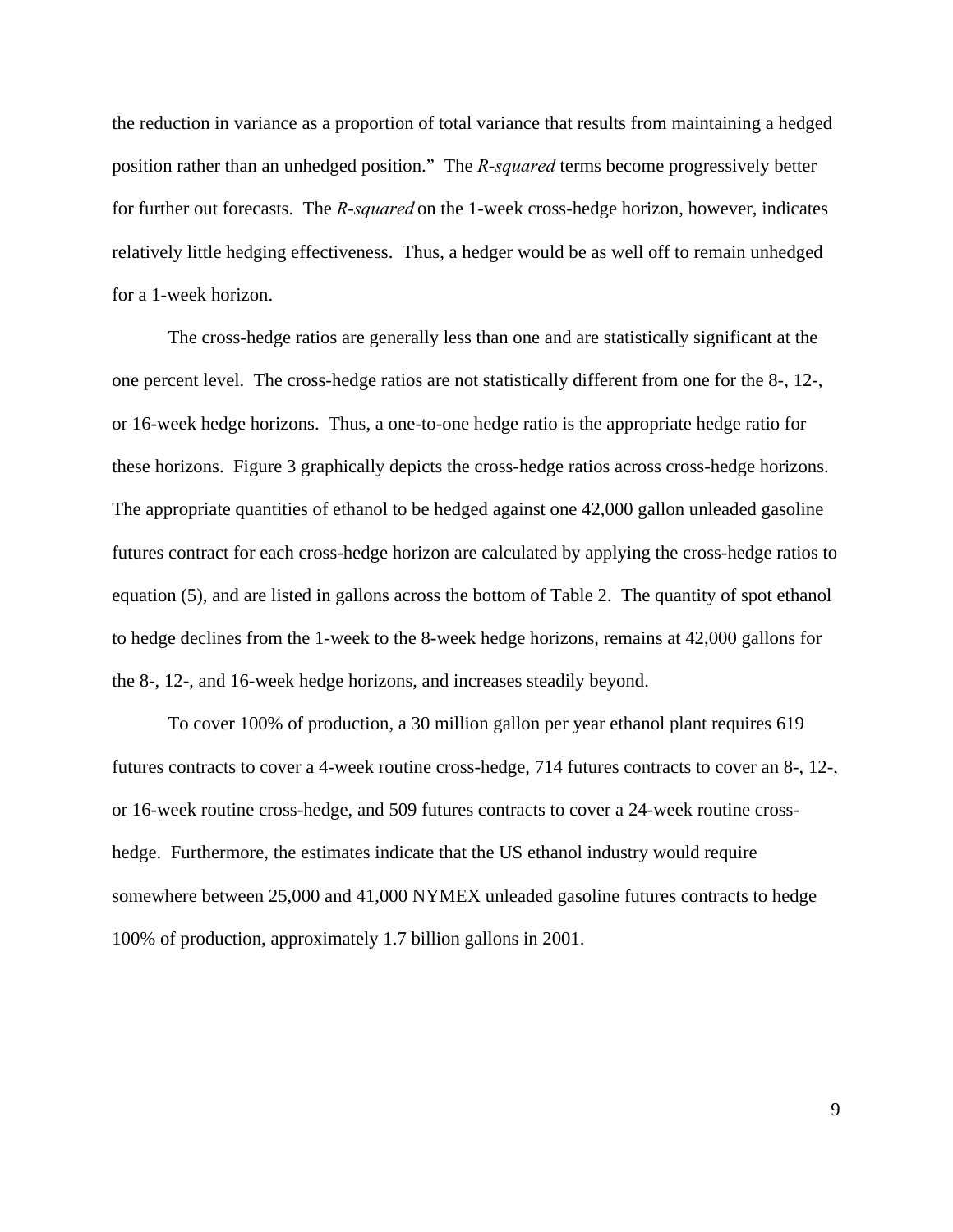the reduction in variance as a proportion of total variance that results from maintaining a hedged position rather than an unhedged position." The *R*-*squared* terms become progressively better for further out forecasts. The *R*-*squared* on the 1-week cross-hedge horizon, however, indicates relatively little hedging effectiveness. Thus, a hedger would be as well off to remain unhedged for a 1-week horizon.

The cross-hedge ratios are generally less than one and are statistically significant at the one percent level. The cross-hedge ratios are not statistically different from one for the 8-, 12-, or 16-week hedge horizons. Thus, a one-to-one hedge ratio is the appropriate hedge ratio for these horizons. Figure 3 graphically depicts the cross-hedge ratios across cross-hedge horizons. The appropriate quantities of ethanol to be hedged against one 42,000 gallon unleaded gasoline futures contract for each cross-hedge horizon are calculated by applying the cross-hedge ratios to equation (5), and are listed in gallons across the bottom of Table 2. The quantity of spot ethanol to hedge declines from the 1-week to the 8-week hedge horizons, remains at 42,000 gallons for the 8-, 12-, and 16-week hedge horizons, and increases steadily beyond.

To cover 100% of production, a 30 million gallon per year ethanol plant requires 619 futures contracts to cover a 4-week routine cross-hedge, 714 futures contracts to cover an 8-, 12-, or 16-week routine cross-hedge, and 509 futures contracts to cover a 24-week routine crosshedge. Furthermore, the estimates indicate that the US ethanol industry would require somewhere between 25,000 and 41,000 NYMEX unleaded gasoline futures contracts to hedge 100% of production, approximately 1.7 billion gallons in 2001.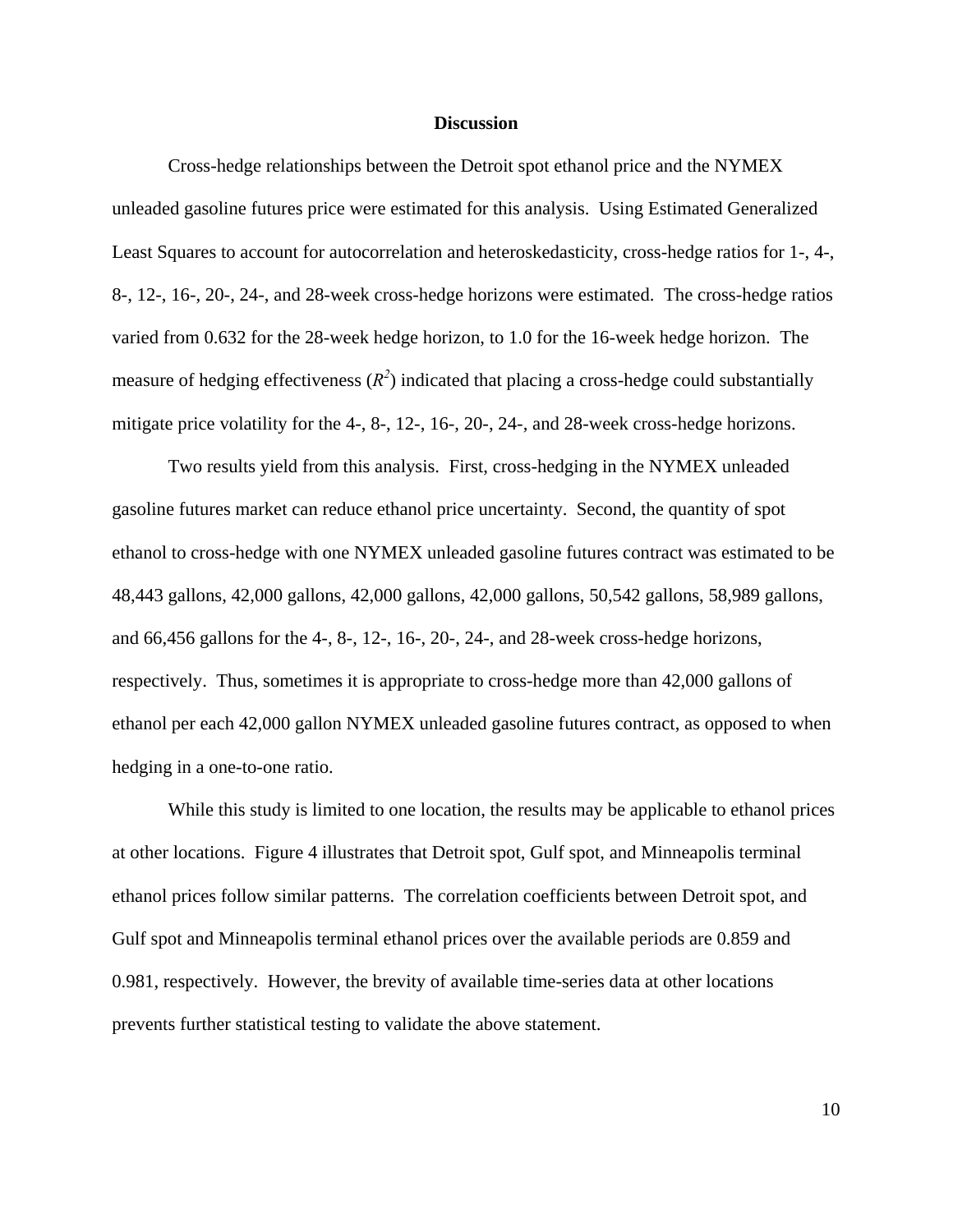#### **Discussion**

 Cross-hedge relationships between the Detroit spot ethanol price and the NYMEX unleaded gasoline futures price were estimated for this analysis. Using Estimated Generalized Least Squares to account for autocorrelation and heteroskedasticity, cross-hedge ratios for 1-, 4-, 8-, 12-, 16-, 20-, 24-, and 28-week cross-hedge horizons were estimated. The cross-hedge ratios varied from 0.632 for the 28-week hedge horizon, to 1.0 for the 16-week hedge horizon. The measure of hedging effectiveness  $(R^2)$  indicated that placing a cross-hedge could substantially mitigate price volatility for the 4-, 8-, 12-, 16-, 20-, 24-, and 28-week cross-hedge horizons.

Two results yield from this analysis. First, cross-hedging in the NYMEX unleaded gasoline futures market can reduce ethanol price uncertainty. Second, the quantity of spot ethanol to cross-hedge with one NYMEX unleaded gasoline futures contract was estimated to be 48,443 gallons, 42,000 gallons, 42,000 gallons, 42,000 gallons, 50,542 gallons, 58,989 gallons, and 66,456 gallons for the 4-, 8-, 12-, 16-, 20-, 24-, and 28-week cross-hedge horizons, respectively. Thus, sometimes it is appropriate to cross-hedge more than 42,000 gallons of ethanol per each 42,000 gallon NYMEX unleaded gasoline futures contract, as opposed to when hedging in a one-to-one ratio.

While this study is limited to one location, the results may be applicable to ethanol prices at other locations. Figure 4 illustrates that Detroit spot, Gulf spot, and Minneapolis terminal ethanol prices follow similar patterns. The correlation coefficients between Detroit spot, and Gulf spot and Minneapolis terminal ethanol prices over the available periods are 0.859 and 0.981, respectively. However, the brevity of available time-series data at other locations prevents further statistical testing to validate the above statement.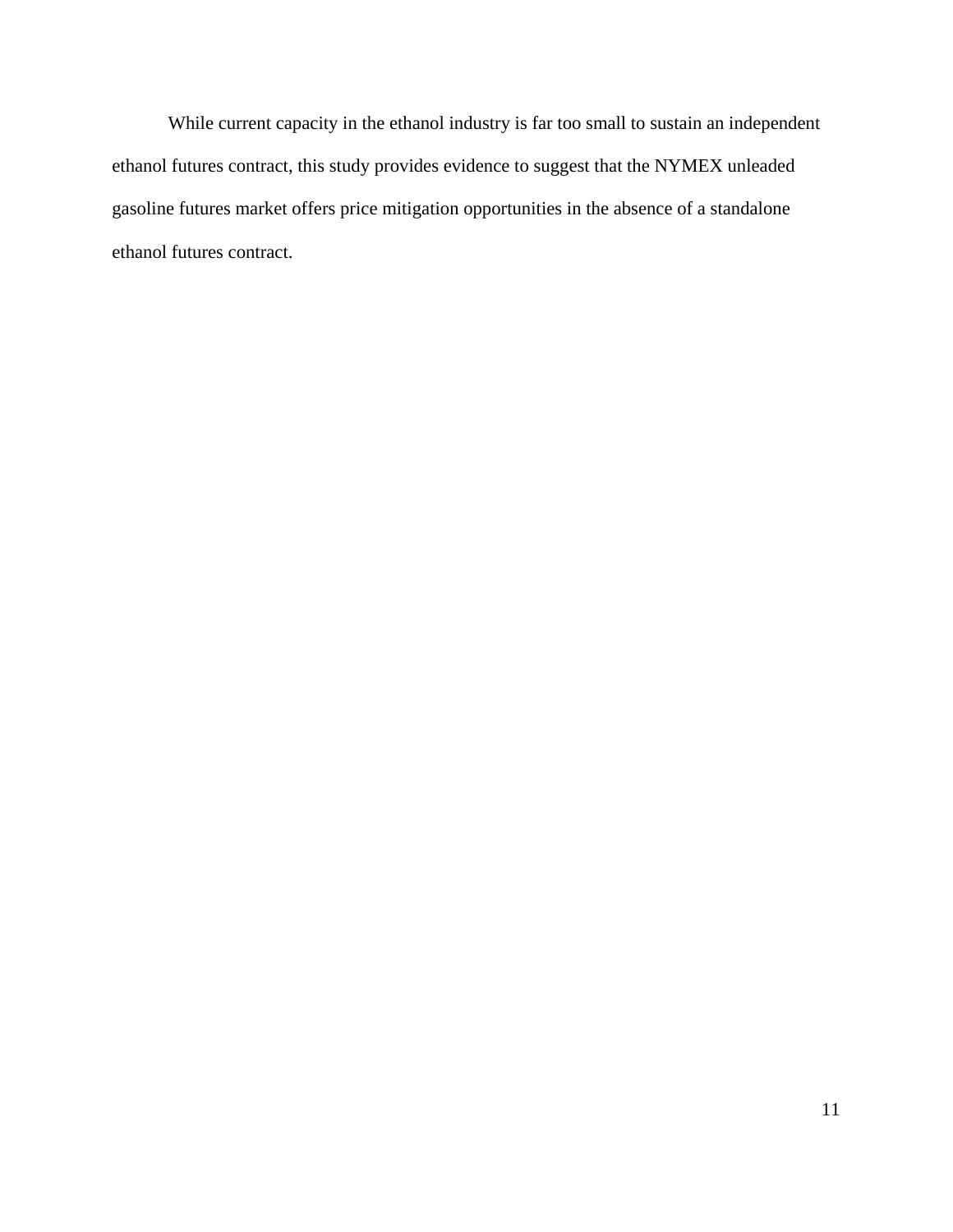While current capacity in the ethanol industry is far too small to sustain an independent ethanol futures contract, this study provides evidence to suggest that the NYMEX unleaded gasoline futures market offers price mitigation opportunities in the absence of a standalone ethanol futures contract.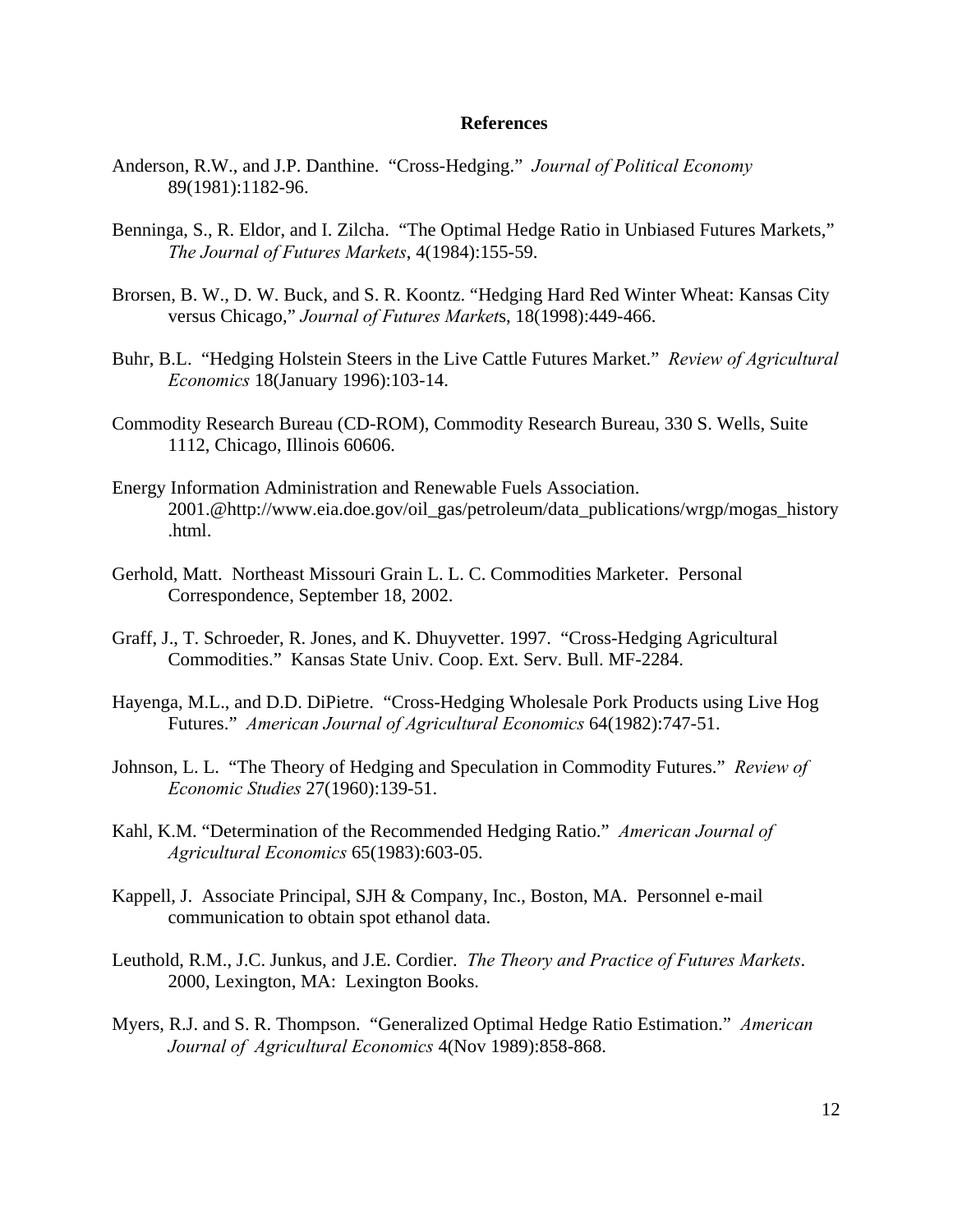# **References**

- Anderson, R.W., and J.P. Danthine. "Cross-Hedging." *Journal of Political Economy* 89(1981):1182-96.
- Benninga, S., R. Eldor, and I. Zilcha. "The Optimal Hedge Ratio in Unbiased Futures Markets," *The Journal of Futures Markets*, 4(1984):155-59.
- Brorsen, B. W., D. W. Buck, and S. R. Koontz. "Hedging Hard Red Winter Wheat: Kansas City versus Chicago," *Journal of Futures Market*s, 18(1998):449-466.
- Buhr, B.L. "Hedging Holstein Steers in the Live Cattle Futures Market." *Review of Agricultural Economics* 18(January 1996):103-14.
- Commodity Research Bureau (CD-ROM), Commodity Research Bureau, 330 S. Wells, Suite 1112, Chicago, Illinois 60606.
- Energy Information Administration and Renewable Fuels Association. 2001.@http://www.eia.doe.gov/oil\_gas/petroleum/data\_publications/wrgp/mogas\_history .html.
- Gerhold, Matt. Northeast Missouri Grain L. L. C. Commodities Marketer. Personal Correspondence, September 18, 2002.
- Graff, J., T. Schroeder, R. Jones, and K. Dhuyvetter. 1997. "Cross-Hedging Agricultural Commodities." Kansas State Univ. Coop. Ext. Serv. Bull. MF-2284.
- Hayenga, M.L., and D.D. DiPietre. "Cross-Hedging Wholesale Pork Products using Live Hog Futures." *American Journal of Agricultural Economics* 64(1982):747-51.
- Johnson, L. L. "The Theory of Hedging and Speculation in Commodity Futures." *Review of Economic Studies* 27(1960):139-51.
- Kahl, K.M. "Determination of the Recommended Hedging Ratio." *American Journal of Agricultural Economics* 65(1983):603-05.
- Kappell, J. Associate Principal, SJH & Company, Inc., Boston, MA. Personnel e-mail communication to obtain spot ethanol data.
- Leuthold, R.M., J.C. Junkus, and J.E. Cordier. *The Theory and Practice of Futures Markets*. 2000, Lexington, MA: Lexington Books.
- Myers, R.J. and S. R. Thompson. "Generalized Optimal Hedge Ratio Estimation." *American Journal of Agricultural Economics* 4(Nov 1989):858-868.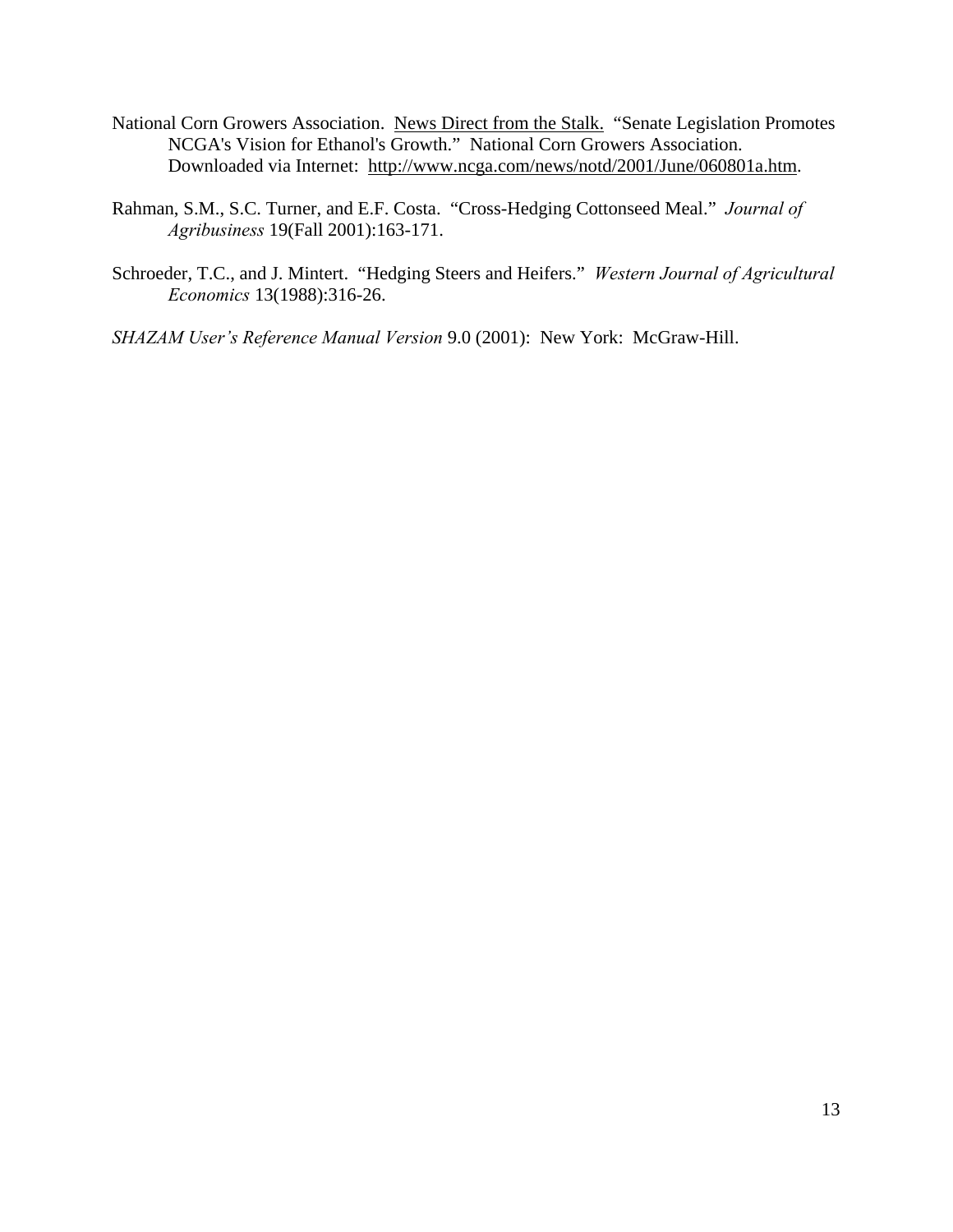- National Corn Growers Association. News Direct from the Stalk. "Senate Legislation Promotes NCGA's Vision for Ethanol's Growth." National Corn Growers Association. Downloaded via Internet: http://www.ncga.com/news/notd/2001/June/060801a.htm.
- Rahman, S.M., S.C. Turner, and E.F. Costa. "Cross-Hedging Cottonseed Meal." *Journal of Agribusiness* 19(Fall 2001):163-171.
- Schroeder, T.C., and J. Mintert. "Hedging Steers and Heifers." *Western Journal of Agricultural Economics* 13(1988):316-26.
- *SHAZAM User's Reference Manual Version* 9.0 (2001): New York: McGraw-Hill.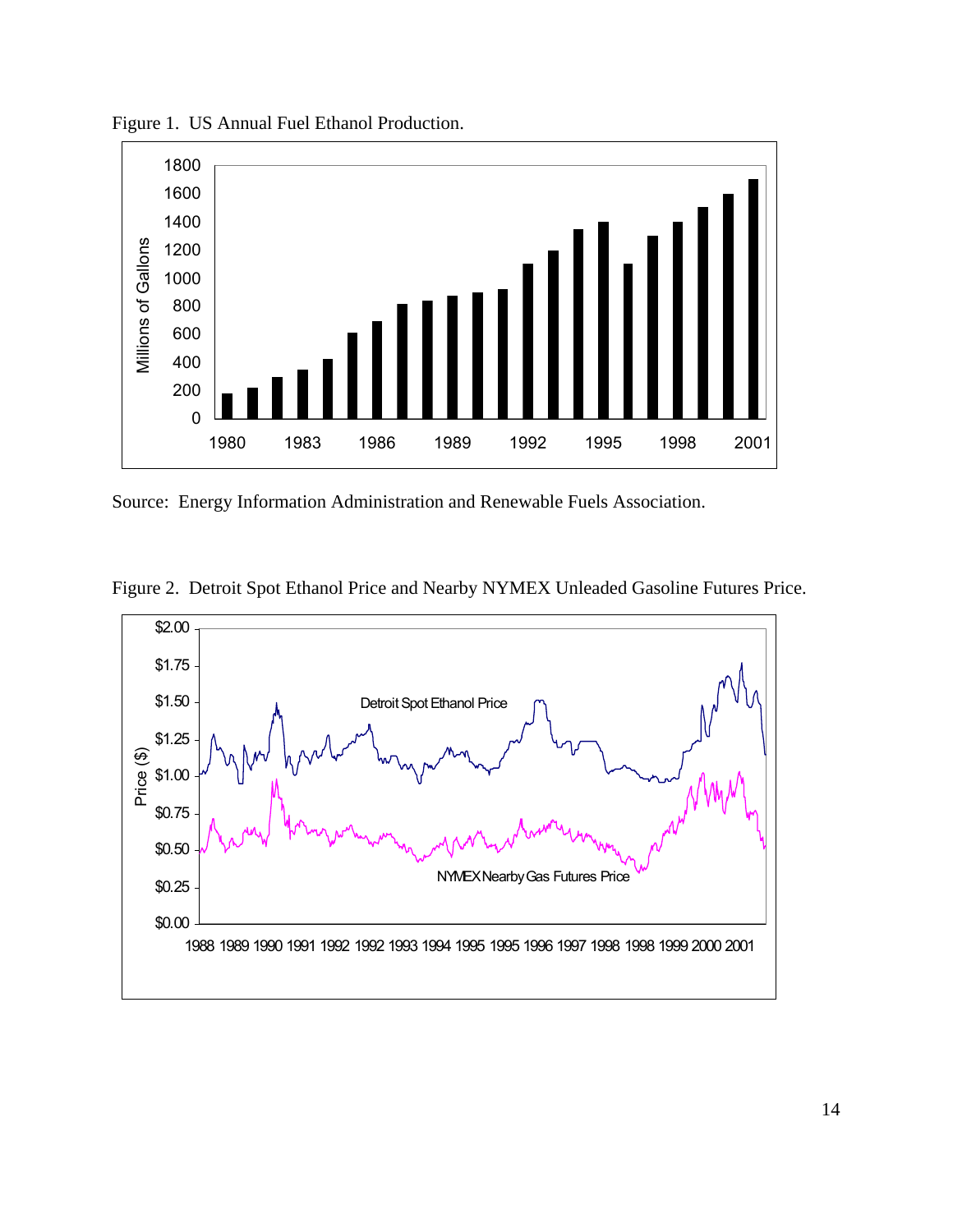

Figure 1. US Annual Fuel Ethanol Production.

Source: Energy Information Administration and Renewable Fuels Association.

Figure 2. Detroit Spot Ethanol Price and Nearby NYMEX Unleaded Gasoline Futures Price.

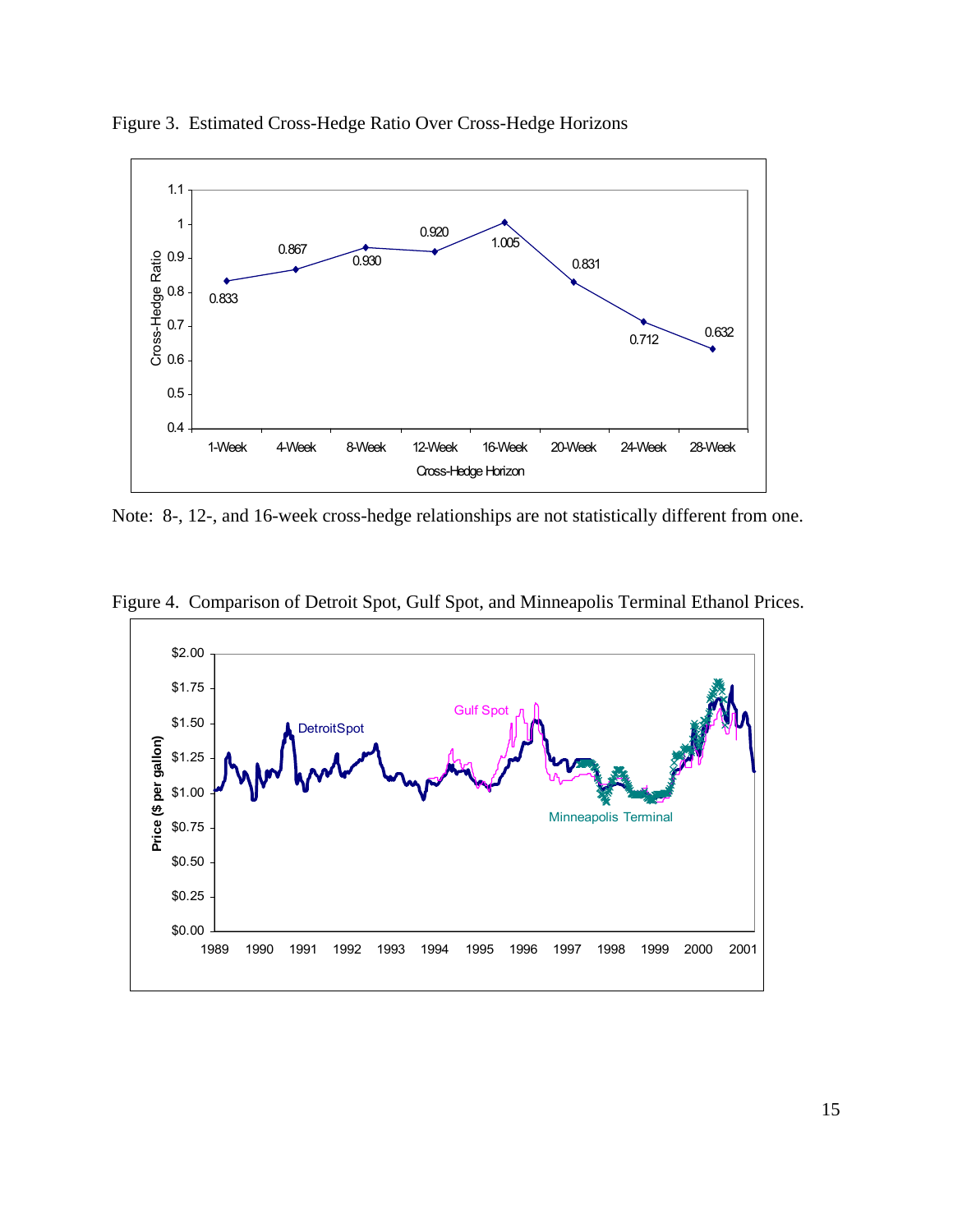

Figure 3. Estimated Cross-Hedge Ratio Over Cross-Hedge Horizons

Note: 8-, 12-, and 16-week cross-hedge relationships are not statistically different from one.



Figure 4. Comparison of Detroit Spot, Gulf Spot, and Minneapolis Terminal Ethanol Prices.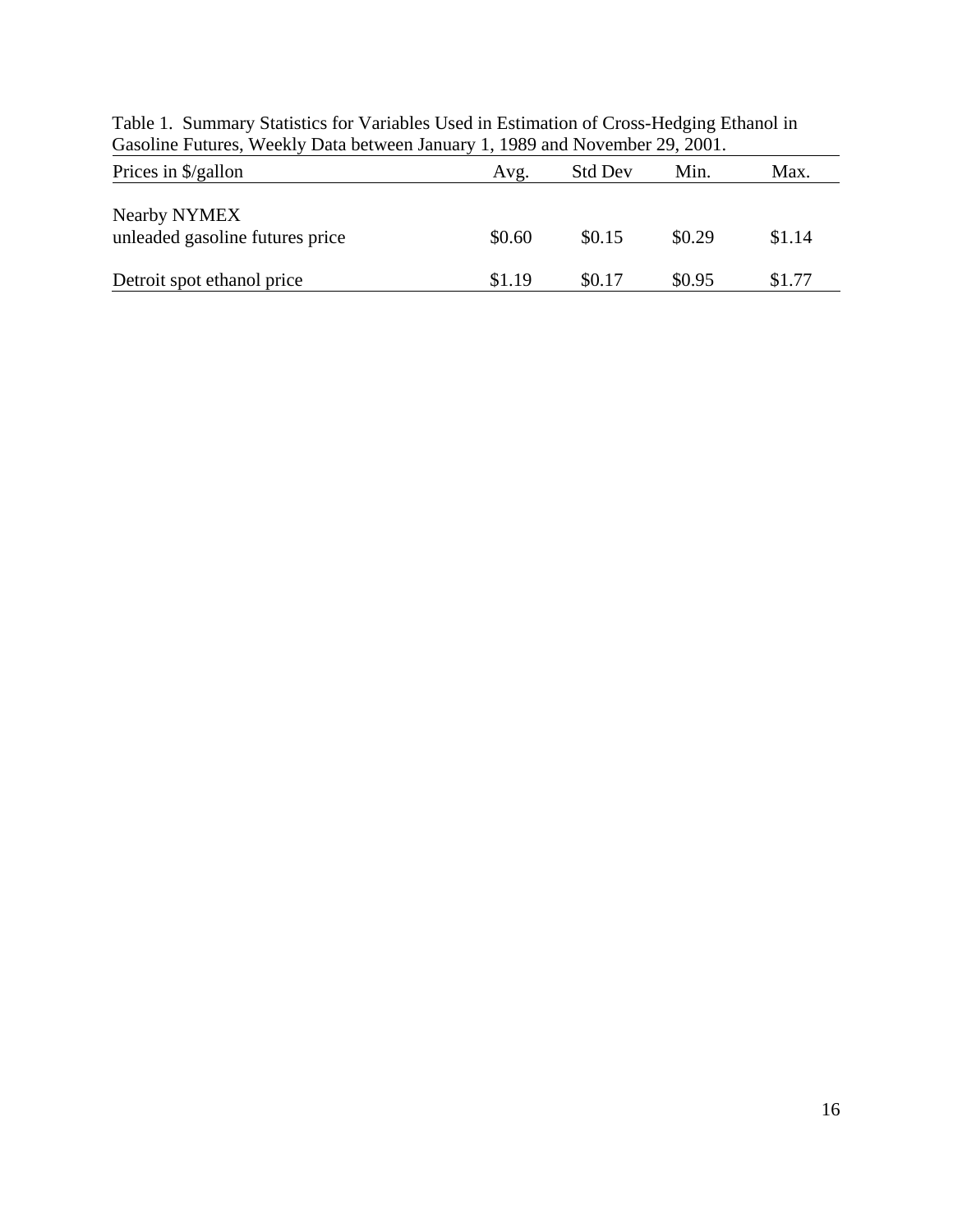| Prices in \$/gallon                             | Avg.   | <b>Std Dev</b> | Min.   | Max.   |
|-------------------------------------------------|--------|----------------|--------|--------|
| Nearby NYMEX<br>unleaded gasoline futures price | \$0.60 | \$0.15         | \$0.29 | \$1.14 |
| Detroit spot ethanol price                      | \$1.19 | \$0.17         | \$0.95 | \$1.77 |

Table 1. Summary Statistics for Variables Used in Estimation of Cross-Hedging Ethanol in Gasoline Futures, Weekly Data between January 1, 1989 and November 29, 2001.